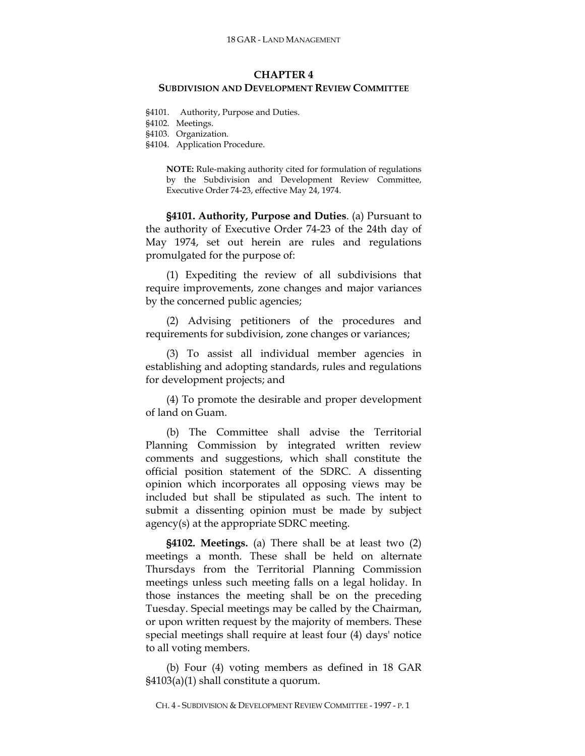### **CHAPTER 4**

### **SUBDIVISION AND DEVELOPMENT REVIEW COMMITTEE**

§4101. Authority, Purpose and Duties.

§4102. Meetings.

§4103. Organization.

§4104. Application Procedure.

**NOTE:** Rule-making authority cited for formulation of regulations by the Subdivision and Development Review Committee, Executive Order 74-23, effective May 24, 1974.

**§4101. Authority, Purpose and Duties**. (a) Pursuant to the authority of Executive Order 74-23 of the 24th day of May 1974, set out herein are rules and regulations promulgated for the purpose of:

(1) Expediting the review of all subdivisions that require improvements, zone changes and major variances by the concerned public agencies;

(2) Advising petitioners of the procedures and requirements for subdivision, zone changes or variances;

(3) To assist all individual member agencies in establishing and adopting standards, rules and regulations for development projects; and

(4) To promote the desirable and proper development of land on Guam.

(b) The Committee shall advise the Territorial Planning Commission by integrated written review comments and suggestions, which shall constitute the official position statement of the SDRC. A dissenting opinion which incorporates all opposing views may be included but shall be stipulated as such. The intent to submit a dissenting opinion must be made by subject agency(s) at the appropriate SDRC meeting.

**§4102. Meetings.** (a) There shall be at least two (2) meetings a month. These shall be held on alternate Thursdays from the Territorial Planning Commission meetings unless such meeting falls on a legal holiday. In those instances the meeting shall be on the preceding Tuesday. Special meetings may be called by the Chairman, or upon written request by the majority of members. These special meetings shall require at least four (4) days' notice to all voting members.

(b) Four (4) voting members as defined in 18 GAR §4103(a)(1) shall constitute a quorum.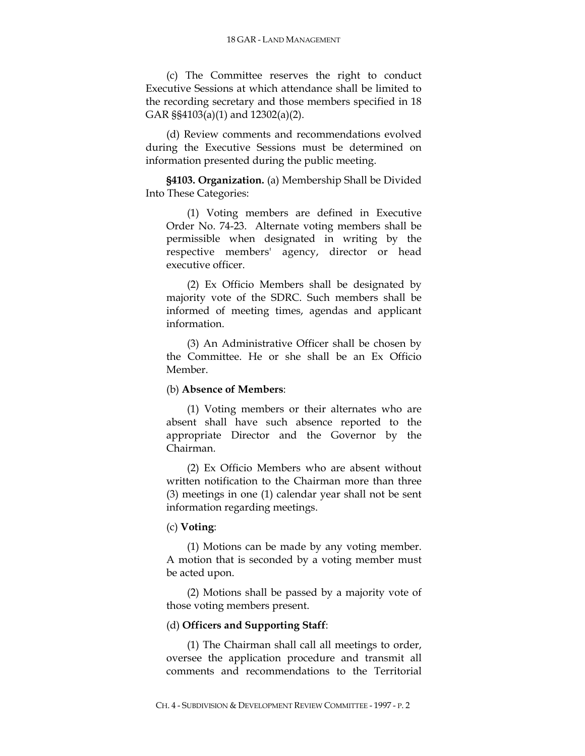(c) The Committee reserves the right to conduct Executive Sessions at which attendance shall be limited to the recording secretary and those members specified in 18 GAR §§4103(a)(1) and 12302(a)(2).

(d) Review comments and recommendations evolved during the Executive Sessions must be determined on information presented during the public meeting.

**§4103. Organization.** (a) Membership Shall be Divided Into These Categories:

(1) Voting members are defined in Executive Order No. 74-23. Alternate voting members shall be permissible when designated in writing by the respective members' agency, director or head executive officer.

(2) Ex Officio Members shall be designated by majority vote of the SDRC. Such members shall be informed of meeting times, agendas and applicant information.

(3) An Administrative Officer shall be chosen by the Committee. He or she shall be an Ex Officio Member.

## (b) **Absence of Members**:

(1) Voting members or their alternates who are absent shall have such absence reported to the appropriate Director and the Governor by the Chairman.

(2) Ex Officio Members who are absent without written notification to the Chairman more than three (3) meetings in one (1) calendar year shall not be sent information regarding meetings.

# (c) **Voting**:

(1) Motions can be made by any voting member. A motion that is seconded by a voting member must be acted upon.

(2) Motions shall be passed by a majority vote of those voting members present.

## (d) **Officers and Supporting Staff**:

(1) The Chairman shall call all meetings to order, oversee the application procedure and transmit all comments and recommendations to the Territorial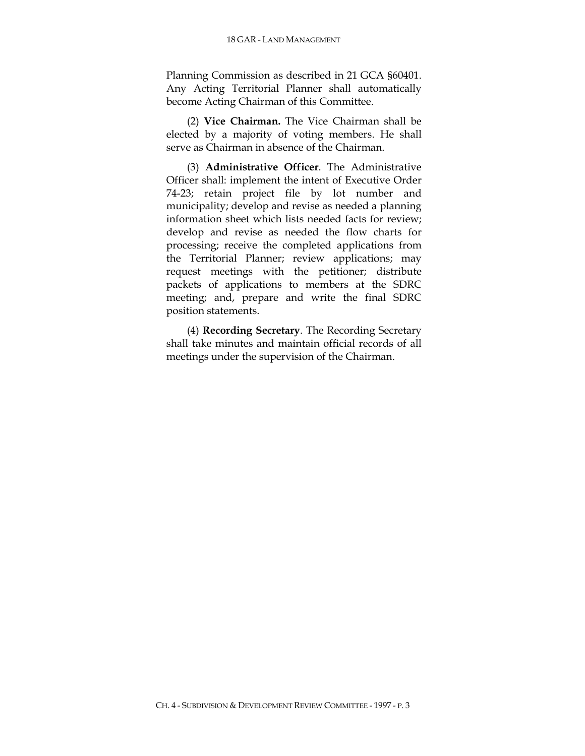Planning Commission as described in 21 GCA §60401. Any Acting Territorial Planner shall automatically become Acting Chairman of this Committee.

(2) **Vice Chairman.** The Vice Chairman shall be elected by a majority of voting members. He shall serve as Chairman in absence of the Chairman.

(3) **Administrative Officer**. The Administrative Officer shall: implement the intent of Executive Order 74-23; retain project file by lot number and municipality; develop and revise as needed a planning information sheet which lists needed facts for review; develop and revise as needed the flow charts for processing; receive the completed applications from the Territorial Planner; review applications; may request meetings with the petitioner; distribute packets of applications to members at the SDRC meeting; and, prepare and write the final SDRC position statements.

(4) **Recording Secretary**. The Recording Secretary shall take minutes and maintain official records of all meetings under the supervision of the Chairman.